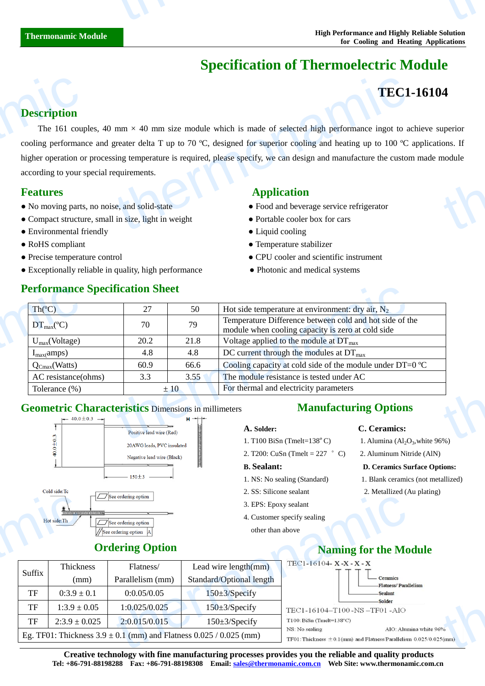# **Specification of Thermoelectric Module**

# **TEC1-16104**

### **Description**

The 161 couples, 40 mm  $\times$  40 mm size module which is made of selected high performance ingot to achieve superior cooling performance and greater delta T up to 70  $\mathbb{C}$ , designed for superior cooling and heating up to 100  $\mathbb{C}$  applications. If higher operation or processing temperature is required, please specify, we can design and manufacture the custom made module according to your special requirements. **Description**<br>The 161 coupled and the 161 coupled and the 161 coupled according to your second according to your section of the Compact structure of Financism and Financism and Financism and Financism and Financism and Fin **TEC1**<br>
mm  $\times$  40 mm size module which is made of selected high performance ingot to a<br>
greater delta T up to 70 °C, designed for superior cooling and heating up to 100 °C<br>
sing temperature is required, please specify, w 14<br>uperior<br>module<br>module

## **Features** Application

Suffix

Thickness (mm)

- No moving parts, no noise, and solid-state <br>• Food and beverage service refrigerator
- Compact structure, small in size, light in weight **•** Portable cooler box for cars
- Environmental friendly Liquid cooling
- 
- 
- Exceptionally reliable in quality, high performance Photonic and medical systems

- 
- 
- RoHS compliant Temperature stabilizer
- Precise temperature control CPU cooler and scientific instrument
	-

| Th(C)                | 27   | 50   | Hot side temperature at environment: dry air, $N_2$                                                          |
|----------------------|------|------|--------------------------------------------------------------------------------------------------------------|
| $DT_{\text{max}}(C)$ | 70   | 79   | Temperature Difference between cold and hot side of the<br>module when cooling capacity is zero at cold side |
| $U_{max}(Voltage)$   | 20.2 | 21.8 | Voltage applied to the module at $DT_{\text{max}}$                                                           |
| $I_{max}(amps)$      | 4.8  | 4.8  | DC current through the modules at $DT_{\text{max}}$                                                          |
| $Q_{Cmax}(Watts)$    | 60.9 | 66.6 | Cooling capacity at cold side of the module under DT=0 $\mathbb{C}$                                          |
| AC resistance(ohms)  | 3.3  | 3.55 | The module resistance is tested under AC                                                                     |
| Tolerance (%)        |      | ±10  | For thermal and electricity parameters                                                                       |

## **Geometric Characteristics** Dimensions in millimeters



# **Manufacturing Options**

- 1. T100 BiSn (Tmelt= $138^{\circ}$ C)
- 2. T200: CuSn (Tmelt =  $227$  °C) 2. Aluminum Nitride (AlN)

- 
- 
- 3. EPS: Epoxy sealant
- 4. Customer specify sealing
	- other than above
- **A. Solder: C. Ceramics:**
	- 1. Alumina  $\left(\mathrm{Al}_2\mathrm{O}_3\right)$ , white 96%)
	-

### **B. Sealant: D. Ceramics Surface Options:**

- 1. NS: No sealing (Standard) 1. Blank ceramics (not metallized)
- 2. SS: Silicone sealant 2. Metallized (Au plating)

# **Ordering Option**

Flatness/ Parallelism (mm)



**Creative technology with fine manufacturing processes provides you the reliable and quality products Tel: +86-791-88198288 Fax: +86-791-88198308 Email: sales@thermonamic.com.cn Web Site: www.thermonamic.com.cn**

# **Performance Specification Sheet**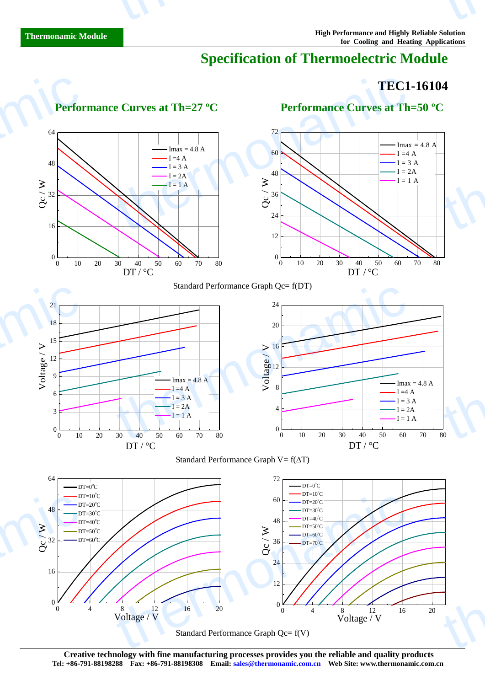# **Specification of Thermoelectric Module**

# **TEC1-16104** thermonamic

 $t$  thermonal  $t$ 

thermonamic



Standard Performance Graph Qc= f(V)

**Creative technology with fine manufacturing processes provides you the reliable and quality products Tel: +86-791-88198288 Fax: +86-791-88198308 Email: sales@thermonamic.com.cn Web Site: www.thermonamic.com.cn**